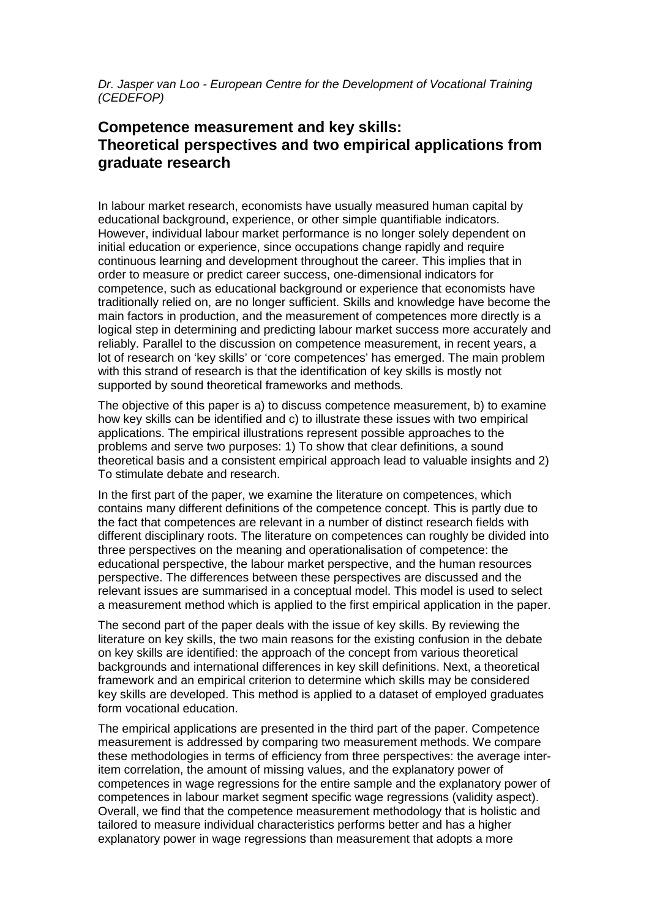Dr. Jasper van Loo - European Centre for the Development of Vocational Training (CEDEFOP)

## **Competence measurement and key skills: Theoretical perspectives and two empirical applications from graduate research**

In labour market research, economists have usually measured human capital by educational background, experience, or other simple quantifiable indicators. However, individual labour market performance is no longer solely dependent on initial education or experience, since occupations change rapidly and require continuous learning and development throughout the career. This implies that in order to measure or predict career success, one-dimensional indicators for competence, such as educational background or experience that economists have traditionally relied on, are no longer sufficient. Skills and knowledge have become the main factors in production, and the measurement of competences more directly is a logical step in determining and predicting labour market success more accurately and reliably. Parallel to the discussion on competence measurement, in recent years, a lot of research on 'key skills' or 'core competences' has emerged. The main problem with this strand of research is that the identification of key skills is mostly not supported by sound theoretical frameworks and methods.

The objective of this paper is a) to discuss competence measurement, b) to examine how key skills can be identified and c) to illustrate these issues with two empirical applications. The empirical illustrations represent possible approaches to the problems and serve two purposes: 1) To show that clear definitions, a sound theoretical basis and a consistent empirical approach lead to valuable insights and 2) To stimulate debate and research.

In the first part of the paper, we examine the literature on competences, which contains many different definitions of the competence concept. This is partly due to the fact that competences are relevant in a number of distinct research fields with different disciplinary roots. The literature on competences can roughly be divided into three perspectives on the meaning and operationalisation of competence: the educational perspective, the labour market perspective, and the human resources perspective. The differences between these perspectives are discussed and the relevant issues are summarised in a conceptual model. This model is used to select a measurement method which is applied to the first empirical application in the paper.

The second part of the paper deals with the issue of key skills. By reviewing the literature on key skills, the two main reasons for the existing confusion in the debate on key skills are identified: the approach of the concept from various theoretical backgrounds and international differences in key skill definitions. Next, a theoretical framework and an empirical criterion to determine which skills may be considered key skills are developed. This method is applied to a dataset of employed graduates form vocational education.

The empirical applications are presented in the third part of the paper. Competence measurement is addressed by comparing two measurement methods. We compare these methodologies in terms of efficiency from three perspectives: the average interitem correlation, the amount of missing values, and the explanatory power of competences in wage regressions for the entire sample and the explanatory power of competences in labour market segment specific wage regressions (validity aspect). Overall, we find that the competence measurement methodology that is holistic and tailored to measure individual characteristics performs better and has a higher explanatory power in wage regressions than measurement that adopts a more